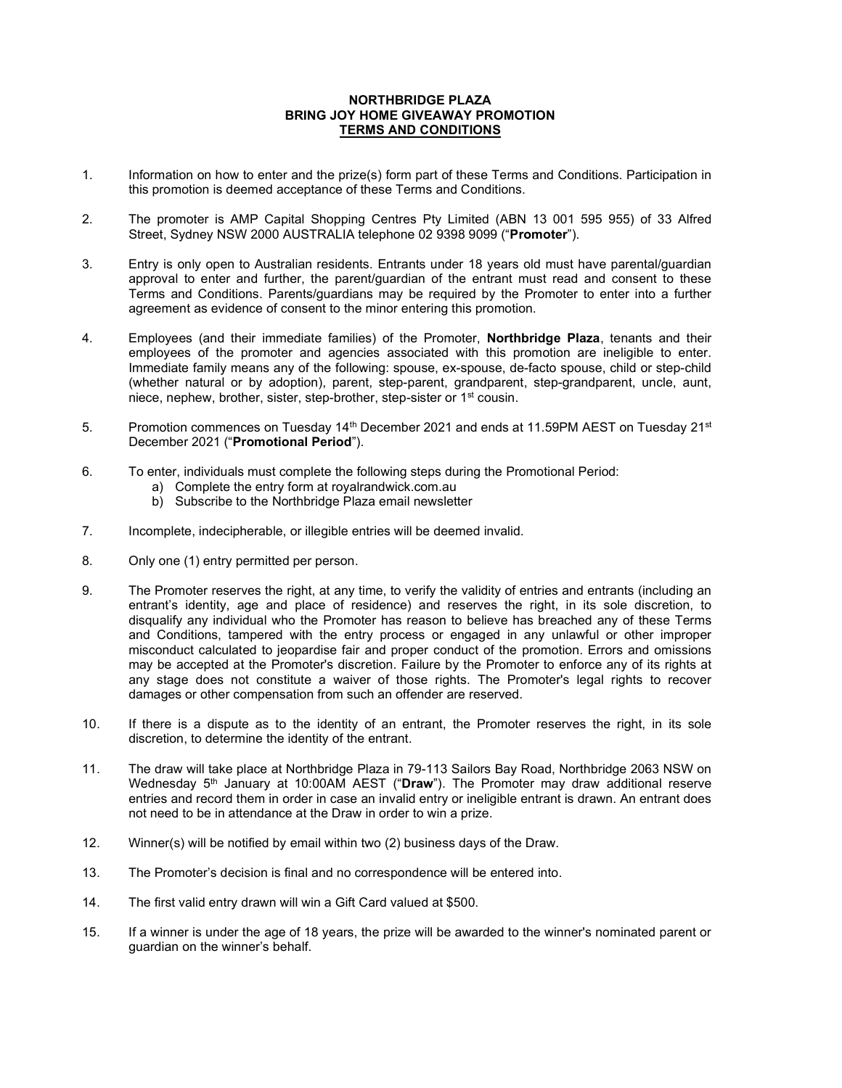## NORTHBRIDGE PLAZA BRING JOY HOME GIVEAWAY PROMOTION TERMS AND CONDITIONS

- 1. Information on how to enter and the prize(s) form part of these Terms and Conditions. Participation in this promotion is deemed acceptance of these Terms and Conditions.
- 2. The promoter is AMP Capital Shopping Centres Pty Limited (ABN 13 001 595 955) of 33 Alfred Street, Sydney NSW 2000 AUSTRALIA telephone 02 9398 9099 ("Promoter").
- 3. Entry is only open to Australian residents. Entrants under 18 years old must have parental/guardian approval to enter and further, the parent/guardian of the entrant must read and consent to these Terms and Conditions. Parents/guardians may be required by the Promoter to enter into a further agreement as evidence of consent to the minor entering this promotion.
- 4. Employees (and their immediate families) of the Promoter, **Northbridge Plaza**, tenants and their employees of the promoter and agencies associated with this promotion are ineligible to enter. Immediate family means any of the following: spouse, ex-spouse, de-facto spouse, child or step-child (whether natural or by adoption), parent, step-parent, grandparent, step-grandparent, uncle, aunt, niece, nephew, brother, sister, step-brother, step-sister or 1st cousin.
- 5. Promotion commences on Tuesday 14<sup>th</sup> December 2021 and ends at 11.59PM AEST on Tuesday 21<sup>st</sup> December 2021 ("Promotional Period").
- 6. To enter, individuals must complete the following steps during the Promotional Period:
	- a) Complete the entry form at royalrandwick.com.au
	- b) Subscribe to the Northbridge Plaza email newsletter
- 7. Incomplete, indecipherable, or illegible entries will be deemed invalid.
- 8. Only one (1) entry permitted per person.
- 9. The Promoter reserves the right, at any time, to verify the validity of entries and entrants (including an entrant's identity, age and place of residence) and reserves the right, in its sole discretion, to disqualify any individual who the Promoter has reason to believe has breached any of these Terms and Conditions, tampered with the entry process or engaged in any unlawful or other improper misconduct calculated to jeopardise fair and proper conduct of the promotion. Errors and omissions may be accepted at the Promoter's discretion. Failure by the Promoter to enforce any of its rights at any stage does not constitute a waiver of those rights. The Promoter's legal rights to recover damages or other compensation from such an offender are reserved.
- 10. If there is a dispute as to the identity of an entrant, the Promoter reserves the right, in its sole discretion, to determine the identity of the entrant.
- 11. The draw will take place at Northbridge Plaza in 79-113 Sailors Bay Road, Northbridge 2063 NSW on Wednesday  $5<sup>th</sup>$  January at 10:00AM AEST ("Draw"). The Promoter may draw additional reserve entries and record them in order in case an invalid entry or ineligible entrant is drawn. An entrant does not need to be in attendance at the Draw in order to win a prize.
- 12. Winner(s) will be notified by email within two (2) business days of the Draw.
- 13. The Promoter's decision is final and no correspondence will be entered into.
- 14. The first valid entry drawn will win a Gift Card valued at \$500.
- 15. If a winner is under the age of 18 years, the prize will be awarded to the winner's nominated parent or guardian on the winner's behalf.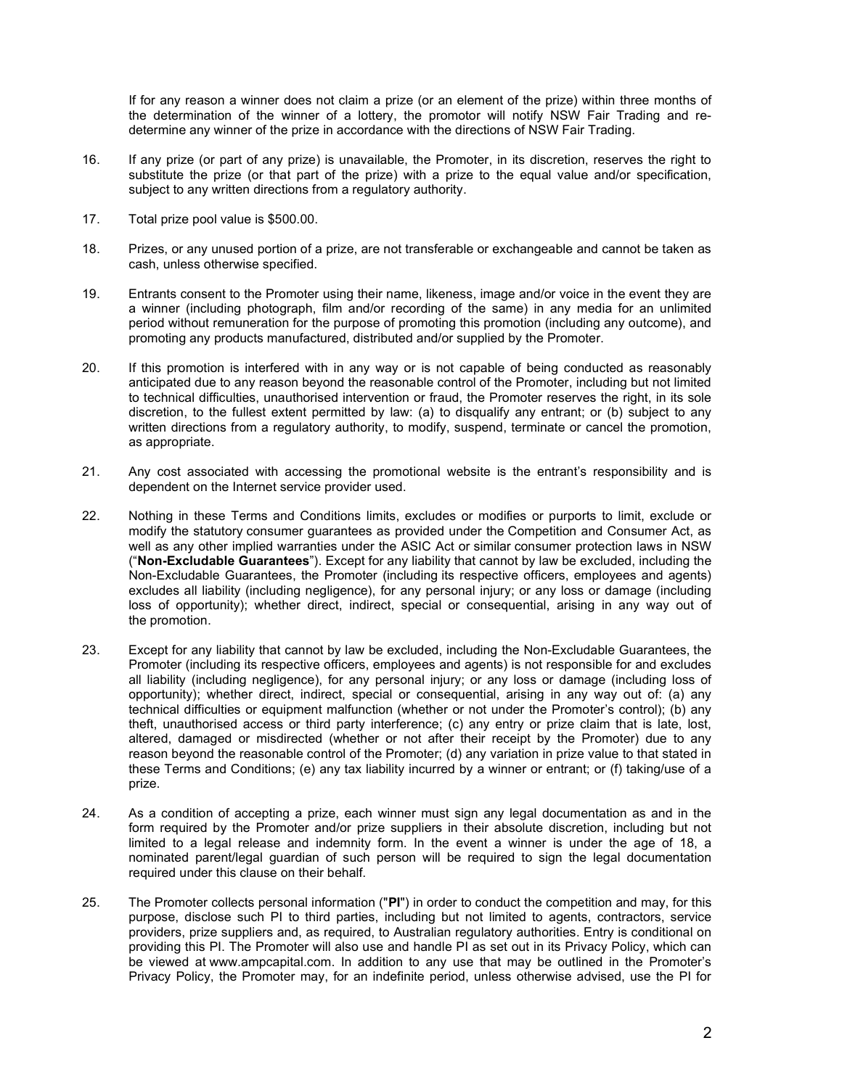If for any reason a winner does not claim a prize (or an element of the prize) within three months of the determination of the winner of a lottery, the promotor will notify NSW Fair Trading and redetermine any winner of the prize in accordance with the directions of NSW Fair Trading.

- 16. If any prize (or part of any prize) is unavailable, the Promoter, in its discretion, reserves the right to substitute the prize (or that part of the prize) with a prize to the equal value and/or specification, subject to any written directions from a regulatory authority.
- 17. Total prize pool value is \$500.00.
- 18. Prizes, or any unused portion of a prize, are not transferable or exchangeable and cannot be taken as cash, unless otherwise specified.
- 19. Entrants consent to the Promoter using their name, likeness, image and/or voice in the event they are a winner (including photograph, film and/or recording of the same) in any media for an unlimited period without remuneration for the purpose of promoting this promotion (including any outcome), and promoting any products manufactured, distributed and/or supplied by the Promoter.
- 20. If this promotion is interfered with in any way or is not capable of being conducted as reasonably anticipated due to any reason beyond the reasonable control of the Promoter, including but not limited to technical difficulties, unauthorised intervention or fraud, the Promoter reserves the right, in its sole discretion, to the fullest extent permitted by law: (a) to disqualify any entrant; or (b) subject to any written directions from a regulatory authority, to modify, suspend, terminate or cancel the promotion, as appropriate.
- 21. Any cost associated with accessing the promotional website is the entrant's responsibility and is dependent on the Internet service provider used.
- 22. Nothing in these Terms and Conditions limits, excludes or modifies or purports to limit, exclude or modify the statutory consumer guarantees as provided under the Competition and Consumer Act, as well as any other implied warranties under the ASIC Act or similar consumer protection laws in NSW ("Non-Excludable Guarantees"). Except for any liability that cannot by law be excluded, including the Non-Excludable Guarantees, the Promoter (including its respective officers, employees and agents) excludes all liability (including negligence), for any personal injury; or any loss or damage (including loss of opportunity); whether direct, indirect, special or consequential, arising in any way out of the promotion.
- 23. Except for any liability that cannot by law be excluded, including the Non-Excludable Guarantees, the Promoter (including its respective officers, employees and agents) is not responsible for and excludes all liability (including negligence), for any personal injury; or any loss or damage (including loss of opportunity); whether direct, indirect, special or consequential, arising in any way out of: (a) any technical difficulties or equipment malfunction (whether or not under the Promoter's control); (b) any theft, unauthorised access or third party interference; (c) any entry or prize claim that is late, lost, altered, damaged or misdirected (whether or not after their receipt by the Promoter) due to any reason beyond the reasonable control of the Promoter; (d) any variation in prize value to that stated in these Terms and Conditions; (e) any tax liability incurred by a winner or entrant; or (f) taking/use of a prize.
- 24. As a condition of accepting a prize, each winner must sign any legal documentation as and in the form required by the Promoter and/or prize suppliers in their absolute discretion, including but not limited to a legal release and indemnity form. In the event a winner is under the age of 18, a nominated parent/legal guardian of such person will be required to sign the legal documentation required under this clause on their behalf.
- 25. The Promoter collects personal information ("PI") in order to conduct the competition and may, for this purpose, disclose such PI to third parties, including but not limited to agents, contractors, service providers, prize suppliers and, as required, to Australian regulatory authorities. Entry is conditional on providing this PI. The Promoter will also use and handle PI as set out in its Privacy Policy, which can be viewed at www.ampcapital.com. In addition to any use that may be outlined in the Promoter's Privacy Policy, the Promoter may, for an indefinite period, unless otherwise advised, use the PI for